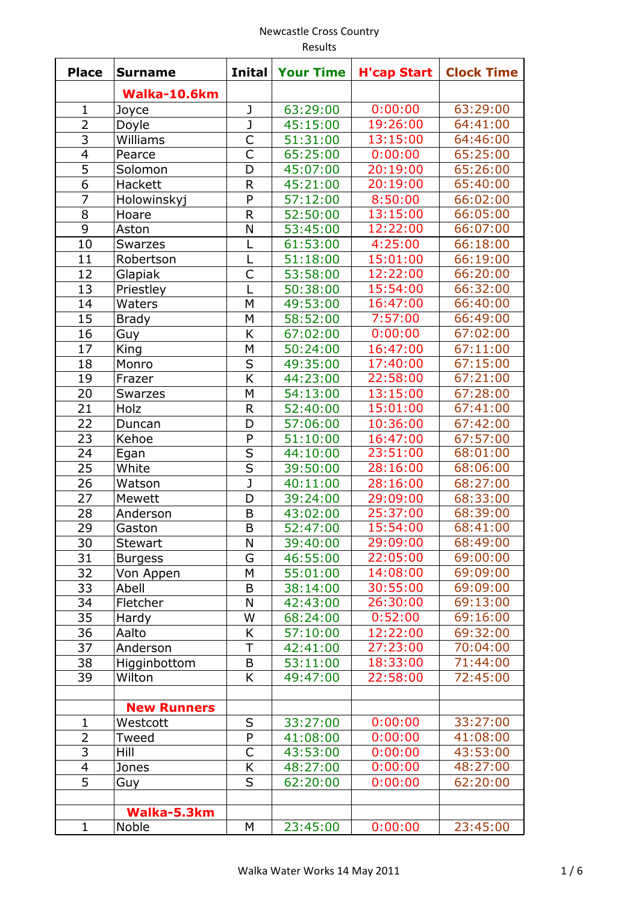#### Newcastle Cross Country Results

| <b>Place</b>   | <b>Surname</b>     | <b>Inital</b>           | <b>Your Time</b> | <b>H'cap Start</b> | <b>Clock Time</b> |
|----------------|--------------------|-------------------------|------------------|--------------------|-------------------|
|                | Walka-10.6km       |                         |                  |                    |                   |
| $\mathbf{1}$   | Joyce              | J                       | 63:29:00         | 0:00:00            | 63:29:00          |
| $\overline{2}$ | Doyle              | $\overline{\mathsf{J}}$ | 45:15:00         | 19:26:00           | 64:41:00          |
| 3              | Williams           | C                       | 51:31:00         | 13:15:00           | 64:46:00          |
| $\overline{4}$ | Pearce             | $\overline{\mathsf{C}}$ | 65:25:00         | 0:00:00            | 65:25:00          |
| 5              | Solomon            | D                       | 45:07:00         | 20:19:00           | 65:26:00          |
| 6              | Hackett            | R                       | 45:21:00         | 20:19:00           | 65:40:00          |
| $\overline{7}$ | Holowinskyj        | P                       | 57:12:00         | 8:50:00            | 66:02:00          |
| 8              | Hoare              | R                       | 52:50:00         | 13:15:00           | 66:05:00          |
| 9              | Aston              | N                       | 53:45:00         | 12:22:00           | 66:07:00          |
| 10             | <b>Swarzes</b>     | L                       | 61:53:00         | 4:25:00            | 66:18:00          |
| 11             | Robertson          | L                       | 51:18:00         | 15:01:00           | 66:19:00          |
| 12             | Glapiak            | C                       | 53:58:00         | 12:22:00           | 66:20:00          |
| 13             | Priestley          |                         | 50:38:00         | 15:54:00           | 66:32:00          |
| 14             | Waters             | M                       | 49:53:00         | 16:47:00           | 66:40:00          |
| 15             | <b>Brady</b>       | M                       | 58:52:00         | 7:57:00            | 66:49:00          |
| 16             | Guy                | K                       | 67:02:00         | 0:00:00            | 67:02:00          |
| 17             | King               | M                       | 50:24:00         | 16:47:00           | 67:11:00          |
| 18             | Monro              | S                       | 49:35:00         | 17:40:00           | 67:15:00          |
| 19             | Frazer             | K                       | 44:23:00         | 22:58:00           | 67:21:00          |
| 20             | <b>Swarzes</b>     | M                       | 54:13:00         | 13:15:00           | 67:28:00          |
| 21             | Holz               | R                       | 52:40:00         | 15:01:00           | 67:41:00          |
| 22             | Duncan             | D                       | 57:06:00         | 10:36:00           | 67:42:00          |
| 23             | Kehoe              | P                       | 51:10:00         | 16:47:00           | 67:57:00          |
| 24             | Egan               | S                       | 44:10:00         | 23:51:00           | 68:01:00          |
| 25             | White              | $\overline{\mathsf{s}}$ | 39:50:00         | 28:16:00           | 68:06:00          |
| 26             | Watson             | J                       | 40:11:00         | 28:16:00           | 68:27:00          |
| 27             | Mewett             | D                       | 39:24:00         | 29:09:00           | 68:33:00          |
| 28             | Anderson           | B                       | 43:02:00         | 25:37:00           | 68:39:00          |
| 29             | Gaston             | B                       | 52:47:00         | 15:54:00           | 68:41:00          |
| 30             | <b>Stewart</b>     | N                       | 39:40:00         | 29:09:00           | 68:49:00          |
| 31             | <b>Burgess</b>     | G                       | 46:55:00         | 22:05:00           | 69:00:00          |
| 32             | Von Appen          | M                       | 55:01:00         | 14:08:00           | 69:09:00          |
| 33             | Abell              | B                       | 38:14:00         | 30:55:00           | 69:09:00          |
| 34             | Fletcher           | N                       | 42:43:00         | 26:30:00           | 69:13:00          |
| 35             | Hardy              | W                       | 68:24:00         | 0:52:00            | 69:16:00          |
| 36             | Aalto              | Κ                       | 57:10:00         | 12:22:00           | 69:32:00          |
| 37             | Anderson           | T                       | 42:41:00         | 27:23:00           | 70:04:00          |
| 38             | Higginbottom       | B                       | 53:11:00         | 18:33:00           | 71:44:00          |
| 39             | Wilton             | K                       | 49:47:00         | 22:58:00           | 72:45:00          |
|                |                    |                         |                  |                    |                   |
|                | <b>New Runners</b> |                         |                  |                    |                   |
| 1              | Westcott           | $\sf S$                 | 33:27:00         | 0:00:00            | 33:27:00          |
| $\overline{2}$ | Tweed              | P                       | 41:08:00         | 0:00:00            | 41:08:00          |
| 3              | Hill               | C                       | 43:53:00         | 0:00:00            | 43:53:00          |
| 4              | Jones              | Κ                       | 48:27:00         | 0:00:00            | 48:27:00          |
| 5              | Guy                | S                       | 62:20:00         | 0:00:00            | 62:20:00          |
|                |                    |                         |                  |                    |                   |
|                | Walka-5.3km        |                         |                  |                    |                   |
| $\mathbf{1}$   | Noble              | M                       | 23:45:00         | 0:00:00            | 23:45:00          |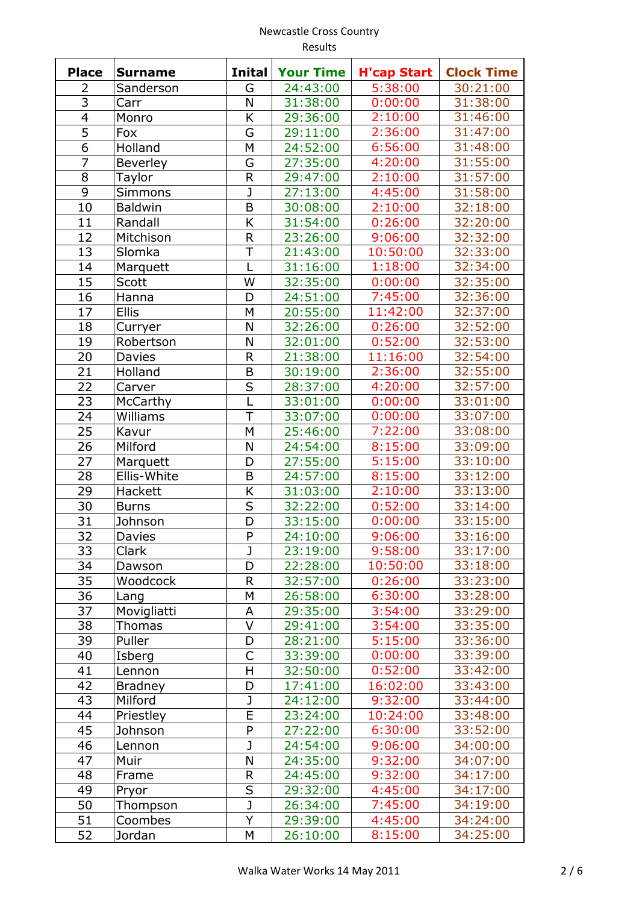| <b>Place</b>   | <b>Surname</b>  | <b>Inital</b>           | <b>Your Time</b> | <b>H'cap Start</b> | <b>Clock Time</b> |
|----------------|-----------------|-------------------------|------------------|--------------------|-------------------|
| 2              | Sanderson       | G                       | 24:43:00         | 5:38:00            | 30:21:00          |
| $\overline{3}$ | Carr            | N                       | 31:38:00         | 0:00:00            | 31:38:00          |
| $\overline{4}$ | Monro           | K                       | 29:36:00         | 2:10:00            | 31:46:00          |
| $\overline{5}$ | Fox             | G                       | 29:11:00         | 2:36:00            | 31:47:00          |
| $\overline{6}$ | Holland         | M                       | 24:52:00         | 6:56:00            | 31:48:00          |
| $\overline{7}$ | <b>Beverley</b> | G                       | 27:35:00         | 4:20:00            | 31:55:00          |
| $\overline{8}$ | Taylor          | $\overline{\mathsf{R}}$ | 29:47:00         | 2:10:00            | 31:57:00          |
| 9              | <b>Simmons</b>  | J                       | 27:13:00         | 4:45:00            | 31:58:00          |
| 10             | <b>Baldwin</b>  | B                       | 30:08:00         | 2:10:00            | 32:18:00          |
| 11             | Randall         | K                       | 31:54:00         | 0:26:00            | 32:20:00          |
| 12             | Mitchison       | R                       | 23:26:00         | 9:06:00            | 32:32:00          |
| 13             | Slomka          | Ť                       | 21:43:00         | 10:50:00           | 32:33:00          |
| 14             | Marquett        | L                       | 31:16:00         | 1:18:00            | 32:34:00          |
| 15             | Scott           | W                       | 32:35:00         | 0:00:00            | 32:35:00          |
| 16             | Hanna           | D                       | 24:51:00         | 7:45:00            | 32:36:00          |
| 17             | <b>Ellis</b>    | M                       | 20:55:00         | 11:42:00           | 32:37:00          |
| 18             | Curryer         | N                       | 32:26:00         | 0:26:00            | 32:52:00          |
| 19             | Robertson       | N                       | 32:01:00         | 0:52:00            | 32:53:00          |
| 20             | Davies          | R                       | 21:38:00         | 11:16:00           | 32:54:00          |
| 21             | Holland         | B                       | 30:19:00         | 2:36:00            | 32:55:00          |
| 22             |                 | S                       |                  | 4:20:00            | 32:57:00          |
|                | Carver          |                         | 28:37:00         |                    |                   |
| 23             | McCarthy        | T                       | 33:01:00         | 0:00:00            | 33:01:00          |
| 24             | Williams        |                         | 33:07:00         | 0:00:00            | 33:07:00          |
| 25             | Kavur           | M                       | 25:46:00         | 7:22:00            | 33:08:00          |
| 26             | Milford         | N                       | 24:54:00         | 8:15:00            | 33:09:00          |
| 27             | Marquett        | D                       | 27:55:00         | 5:15:00            | 33:10:00          |
| 28             | Ellis-White     | B                       | 24:57:00         | 8:15:00            | 33:12:00          |
| 29             | Hackett         | K                       | 31:03:00         | 2:10:00            | 33:13:00          |
| 30             | <b>Burns</b>    | S                       | 32:22:00         | 0:52:00            | 33:14:00          |
| 31             | Johnson         | D                       | 33:15:00         | 0:00:00            | 33:15:00          |
| 32             | <b>Davies</b>   | P                       | 24:10:00         | 9:06:00            | 33:16:00          |
| 33             | Clark           | J                       | 23:19:00         | 9:58:00            | 33:17:00          |
| 34             | Dawson          | D                       | 22:28:00         | 10:50:00           | 33:18:00          |
| 35             | Woodcock        | R                       | 32:57:00         | 0:26:00            | 33:23:00          |
| 36             | Lang            | M                       | 26:58:00         | 6:30:00            | 33:28:00          |
| 37             | Movigliatti     | A                       | 29:35:00         | 3:54:00            | 33:29:00          |
| 38             | Thomas          | V                       | 29:41:00         | 3:54:00            | 33:35:00          |
| 39             | Puller          | D                       | 28:21:00         | 5:15:00            | 33:36:00          |
| 40             | Isberg          | C                       | 33:39:00         | 0:00:00            | 33:39:00          |
| 41             | Lennon          | H                       | 32:50:00         | 0:52:00            | 33:42:00          |
| 42             | <b>Bradney</b>  | D                       | 17:41:00         | 16:02:00           | 33:43:00          |
| 43             | Milford         | J                       | 24:12:00         | 9:32:00            | 33:44:00          |
| 44             | Priestley       | E                       | 23:24:00         | 10:24:00           | 33:48:00          |
| 45             | Johnson         | P                       | 27:22:00         | 6:30:00            | 33:52:00          |
| 46             | Lennon          | J                       | 24:54:00         | 9:06:00            | 34:00:00          |
| 47             | Muir            | N                       | 24:35:00         | 9:32:00            | 34:07:00          |
| 48             | Frame           | R                       | 24:45:00         | 9:32:00            | 34:17:00          |
| 49             | Pryor           | S                       | 29:32:00         | 4:45:00            | 34:17:00          |
| 50             | Thompson        | J                       | 26:34:00         | 7:45:00            | 34:19:00          |
| 51             | Coombes         | Υ                       | 29:39:00         | 4:45:00            | 34:24:00          |
| 52             | Jordan          | M                       | 26:10:00         | 8:15:00            | 34:25:00          |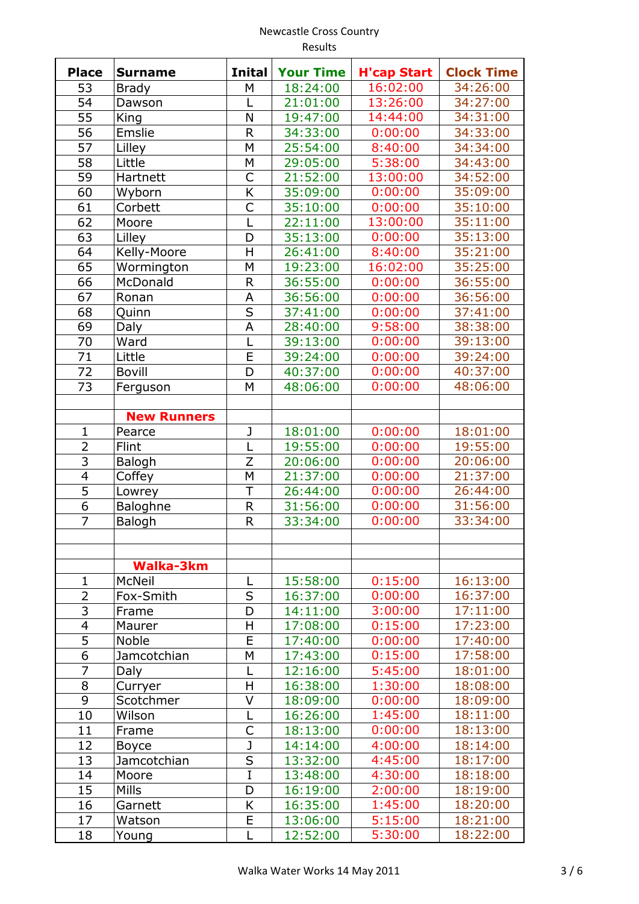|                | Results               |                         |                      |                    |                      |
|----------------|-----------------------|-------------------------|----------------------|--------------------|----------------------|
| <b>Place</b>   | <b>Surname</b>        | <b>Inital</b>           | <b>Your Time</b>     | <b>H'cap Start</b> | <b>Clock Time</b>    |
| 53             | <b>Brady</b>          | M                       | 18:24:00             | 16:02:00           | 34:26:00             |
| 54             | Dawson                |                         | 21:01:00             | 13:26:00           | 34:27:00             |
| 55             | King                  | N                       | 19:47:00             | 14:44:00           | 34:31:00             |
| 56             | Emslie                | $\mathsf{R}$            | 34:33:00             | 0:00:00            | 34:33:00             |
| 57             | Lilley                | M                       | 25:54:00             | 8:40:00            | 34:34:00             |
| 58             | Little                | M                       | 29:05:00             | 5:38:00            | 34:43:00             |
| 59             | Hartnett              | C                       | 21:52:00             | 13:00:00           | 34:52:00             |
| 60             | Wyborn                | K                       | 35:09:00             | 0:00:00            | 35:09:00             |
| 61             | Corbett               | $\mathsf{C}$            | 35:10:00             | 0:00:00            | 35:10:00             |
| 62             | Moore                 | L                       | 22:11:00             | 13:00:00           | 35:11:00             |
| 63             | Lilley                | D                       | 35:13:00             | 0:00:00            | 35:13:00             |
| 64             | Kelly-Moore           | Η                       | 26:41:00             | 8:40:00            | 35:21:00             |
| 65             | Wormington            | M                       | 19:23:00             | 16:02:00           | 35:25:00             |
| 66             | McDonald              | $\mathsf R$             | 36:55:00             | 0:00:00            | 36:55:00             |
| 67             | Ronan                 | Α                       | 36:56:00             | 0:00:00            | 36:56:00             |
| 68             | Quinn                 | S                       | 37:41:00             | 0:00:00            | 37:41:00             |
| 69             | Daly                  | A                       | 28:40:00             | 9:58:00            | 38:38:00             |
| 70             | Ward                  | L                       | 39:13:00             | 0:00:00            | 39:13:00             |
| 71             | Little                | E                       | 39:24:00             | 0:00:00            | 39:24:00             |
| 72             | <b>Bovill</b>         | D                       | 40:37:00             | 0:00:00            | 40:37:00             |
| 73             | Ferguson              | M                       | 48:06:00             | 0:00:00            | 48:06:00             |
|                |                       |                         |                      |                    |                      |
|                | <b>New Runners</b>    |                         |                      |                    |                      |
| $\mathbf{1}$   | Pearce                | J                       | 18:01:00             | 0:00:00            | 18:01:00             |
| $\overline{2}$ | Flint                 | L                       | 19:55:00             | 0:00:00            | 19:55:00             |
| $\overline{3}$ | Balogh                | Z                       | 20:06:00             | 0:00:00            | 20:06:00             |
| $\overline{4}$ | Coffey                | M                       | 21:37:00             | 0:00:00            | 21:37:00             |
| $\overline{5}$ | Lowrey                | T                       | 26:44:00             | 0:00:00            | 26:44:00             |
| 6              | Baloghne              | R                       | 31:56:00             | 0:00:00            | 31:56:00             |
| $\overline{7}$ | Balogh                | $\overline{\mathsf{R}}$ | 33:34:00             | 0:00:00            | 33:34:00             |
|                |                       |                         |                      |                    |                      |
|                | <b>Walka-3km</b>      |                         |                      |                    |                      |
| $\mathbf 1$    | McNeil                | L                       | 15:58:00             | 0:15:00            | 16:13:00             |
| $\overline{2}$ | Fox-Smith             | S                       | 16:37:00             | 0:00:00            | 16:37:00             |
| 3              | Frame                 | D                       | 14:11:00             | 3:00:00            | 17:11:00             |
| $\overline{4}$ | Maurer                | Η                       | 17:08:00             | 0:15:00            | 17:23:00             |
| $\overline{5}$ | Noble                 | E                       | 17:40:00             | 0:00:00            | 17:40:00             |
| 6              | Jamcotchian           | M                       | 17:43:00             | 0:15:00            | 17:58:00             |
| 7              | Daly                  |                         | 12:16:00             | 5:45:00            | 18:01:00             |
| 8              |                       | H                       | 16:38:00             | 1:30:00            | 18:08:00             |
| 9              | Curryer               | V                       | 18:09:00             | 0:00:00            |                      |
| 10             | Scotchmer<br>Wilson   | L                       | 16:26:00             | 1:45:00            | 18:09:00<br>18:11:00 |
| 11             |                       | С                       |                      | 0:00:00            | 18:13:00             |
|                | Frame                 | J                       | 18:13:00<br>14:14:00 |                    | 18:14:00             |
| 12<br>13       | <b>Boyce</b>          | S                       | 13:32:00             | 4:00:00<br>4:45:00 | 18:17:00             |
| 14             | Jamcotchian           | I                       | 13:48:00             | 4:30:00            |                      |
| 15             | Moore<br><b>Mills</b> | D                       |                      |                    | 18:18:00             |
|                |                       | K                       | 16:19:00             | 2:00:00<br>1:45:00 | 18:19:00<br>18:20:00 |
| 16             | Garnett               |                         | 16:35:00             |                    |                      |

 $\begin{array}{|c|c|c|c|c|}\n\hline\nL & 12:52:00 & 5:30:00\n\end{array}$ 

Watson E 13:06:00 5:15:00 18:21:00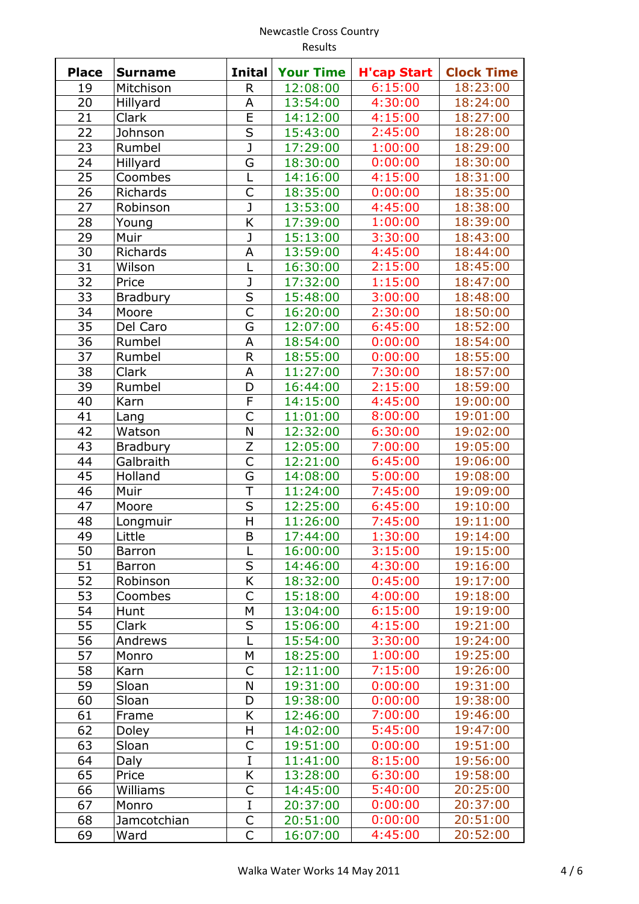#### Newcastle Cross Country Results

| <b>Place</b> | <b>Surname</b>   | <b>Inital</b>                      | <b>Your Time</b>     | <b>H'cap Start</b> | <b>Clock Time</b>    |
|--------------|------------------|------------------------------------|----------------------|--------------------|----------------------|
| 19           | Mitchison        | R                                  | 12:08:00             | 6:15:00            | 18:23:00             |
| 20           | Hillyard         | A                                  | 13:54:00             | 4:30:00            | 18:24:00             |
| 21           | Clark            | E                                  | 14:12:00             | 4:15:00            | 18:27:00             |
| 22           | Johnson          | S                                  | 15:43:00             | 2:45:00            | 18:28:00             |
| 23           | Rumbel           | J                                  | 17:29:00             | 1:00:00            | 18:29:00             |
| 24           | Hillyard         | G                                  | 18:30:00             | 0:00:00            | 18:30:00             |
| 25           | Coombes          | L                                  | 14:16:00             | 4:15:00            | 18:31:00             |
| 26           | Richards         | $\overline{\mathsf{C}}$            | 18:35:00             | 0:00:00            | 18:35:00             |
| 27           | Robinson         | J                                  | 13:53:00             | 4:45:00            | 18:38:00             |
| 28           | Young            | K                                  | 17:39:00             | 1:00:00            | 18:39:00             |
| 29           | Muir             | J                                  | 15:13:00             | 3:30:00            | 18:43:00             |
| 30           | Richards         | A                                  | 13:59:00             | 4:45:00            | 18:44:00             |
| 31           | Wilson           | L                                  | 16:30:00             | 2:15:00            | 18:45:00             |
| 32           | Price            | J                                  | 17:32:00             | 1:15:00            | 18:47:00             |
| 33           | <b>Bradbury</b>  | $\overline{\mathsf{s}}$            | 15:48:00             | 3:00:00            | 18:48:00             |
| 34           | Moore            | C                                  | 16:20:00             | 2:30:00            | 18:50:00             |
| 35           | Del Caro         | G                                  | 12:07:00             | 6:45:00            | 18:52:00             |
| 36           |                  | A                                  | 18:54:00             | 0:00:00            | 18:54:00             |
| 37           | Rumbel<br>Rumbel | $\mathsf{R}$                       | 18:55:00             |                    | 18:55:00             |
| 38           |                  | A                                  | 11:27:00             | 0:00:00            | 18:57:00             |
| 39           | Clark            | D                                  |                      | 7:30:00            | 18:59:00             |
| 40           | Rumbel           | $\overline{\mathsf{F}}$            | 16:44:00<br>14:15:00 | 2:15:00<br>4:45:00 | 19:00:00             |
|              | Karn             | C                                  |                      | 8:00:00            | 19:01:00             |
| 41<br>42     | Lang<br>Watson   | N                                  | 11:01:00<br>12:32:00 | 6:30:00            | 19:02:00             |
| 43           |                  | Z                                  |                      |                    |                      |
|              | Bradbury         | C                                  | 12:05:00             | 7:00:00<br>6:45:00 | 19:05:00<br>19:06:00 |
| 44           | Galbraith        | G                                  | 12:21:00             |                    | 19:08:00             |
| 45           | Holland          | T                                  | 14:08:00             | 5:00:00            |                      |
| 46           | Muir             | $\overline{\mathsf{S}}$            | 11:24:00             | 7:45:00            | 19:09:00             |
| 47           | Moore            | $\overline{\overline{\mathsf{H}}}$ | 12:25:00             | 6:45:00            | 19:10:00             |
| 48           | Longmuir         |                                    | 11:26:00             | 7:45:00            | 19:11:00             |
| 49           | Little           | $\overline{B}$                     | 17:44:00             | 1:30:00            | 19:14:00             |
| 50           | <b>Barron</b>    | L                                  | 16:00:00             | 3:15:00            | 19:15:00             |
| 51           | Barron           | S                                  | 14:46:00             | 4:30:00            | 19:16:00             |
| 52           | Robinson         | K                                  | 18:32:00             | 0:45:00            | 19:17:00             |
| 53           | Coombes          | C                                  | 15:18:00             | 4:00:00            | 19:18:00             |
| 54           | Hunt             | M                                  | 13:04:00             | 6:15:00            | 19:19:00             |
| 55           | Clark            | $\sf S$                            | 15:06:00             | 4:15:00            | 19:21:00             |
| 56           | Andrews          |                                    | 15:54:00             | 3:30:00            | 19:24:00             |
| 57           | Monro            | M                                  | 18:25:00             | 1:00:00            | 19:25:00             |
| 58           | Karn             | C                                  | 12:11:00             | 7:15:00            | 19:26:00             |
| 59           | Sloan            | N                                  | 19:31:00             | 0:00:00            | 19:31:00             |
| 60           | Sloan            | D                                  | 19:38:00             | 0:00:00            | 19:38:00             |
| 61           | Frame            | K                                  | 12:46:00             | 7:00:00            | 19:46:00             |
| 62           | Doley            | H                                  | 14:02:00             | 5:45:00            | 19:47:00             |
| 63           | Sloan            | C                                  | 19:51:00             | 0:00:00            | 19:51:00             |
| 64           | Daly             | I                                  | 11:41:00             | 8:15:00            | 19:56:00             |
| 65           | Price            | K                                  | 13:28:00             | 6:30:00            | 19:58:00             |
| 66           | Williams         | C                                  | 14:45:00             | 5:40:00            | 20:25:00             |
| 67           | Monro            | I                                  | 20:37:00             | 0:00:00            | 20:37:00             |
| 68           | Jamcotchian      | С                                  | 20:51:00             | 0:00:00            | 20:51:00             |
| 69           | Ward             | $\mathsf{C}$                       | 16:07:00             | 4:45:00            | 20:52:00             |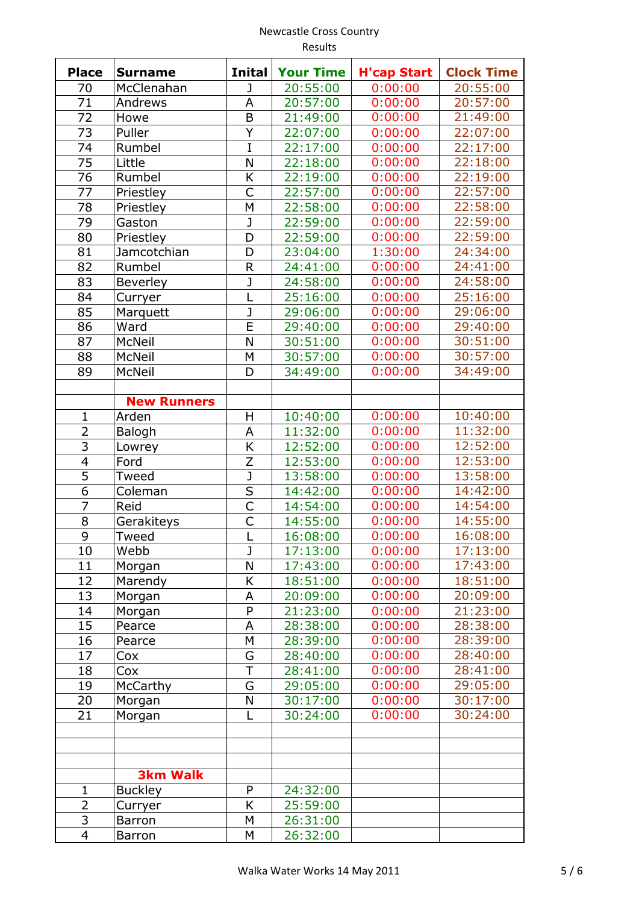|                         | <b>INCWLASLIC CLUSS CUUITLI Y</b><br>Results |                                    |                  |                    |                   |  |
|-------------------------|----------------------------------------------|------------------------------------|------------------|--------------------|-------------------|--|
| <b>Place</b>            | <b>Surname</b>                               | <b>Inital</b>                      | <b>Your Time</b> | <b>H'cap Start</b> | <b>Clock Time</b> |  |
| 70                      | McClenahan                                   | J                                  | 20:55:00         | 0:00:00            | 20:55:00          |  |
| 71                      | Andrews                                      | A                                  | 20:57:00         | 0:00:00            | 20:57:00          |  |
| 72                      | Howe                                         | B                                  | 21:49:00         | 0:00:00            | 21:49:00          |  |
| 73                      | Puller                                       | Υ                                  | 22:07:00         | 0:00:00            | 22:07:00          |  |
| 74                      | Rumbel                                       | I                                  | 22:17:00         | 0:00:00            | 22:17:00          |  |
| 75                      | Little                                       | N                                  | 22:18:00         | 0:00:00            | 22:18:00          |  |
| 76                      | Rumbel                                       | Κ                                  | 22:19:00         | 0:00:00            | 22:19:00          |  |
| 77                      | Priestley                                    | Ċ                                  | 22:57:00         | 0:00:00            | 22:57:00          |  |
| 78                      | Priestley                                    | M                                  | 22:58:00         | 0:00:00            | 22:58:00          |  |
| 79                      | Gaston                                       | J                                  | 22:59:00         | 0:00:00            | 22:59:00          |  |
| 80                      | Priestley                                    | D                                  | 22:59:00         | 0:00:00            | 22:59:00          |  |
| 81                      | Jamcotchian                                  | D                                  | 23:04:00         | 1:30:00            | 24:34:00          |  |
| 82                      | Rumbel                                       | R                                  | 24:41:00         | 0:00:00            | 24:41:00          |  |
| 83                      | Beverley                                     | J                                  | 24:58:00         | 0:00:00            | 24:58:00          |  |
| 84                      | Curryer                                      | L                                  | 25:16:00         | 0:00:00            | 25:16:00          |  |
| 85                      | Marquett                                     | J                                  | 29:06:00         | 0:00:00            | 29:06:00          |  |
| 86                      | Ward                                         | E                                  | 29:40:00         | 0:00:00            | 29:40:00          |  |
| 87                      | <b>McNeil</b>                                | N                                  | 30:51:00         | 0:00:00            | 30:51:00          |  |
| 88                      | McNeil                                       | M                                  | 30:57:00         | 0:00:00            | 30:57:00          |  |
| 89                      | McNeil                                       | D                                  | 34:49:00         | 0:00:00            | 34:49:00          |  |
|                         |                                              |                                    |                  |                    |                   |  |
|                         | <b>New Runners</b>                           |                                    |                  |                    |                   |  |
| 1                       | Arden                                        | H                                  | 10:40:00         | 0:00:00            | 10:40:00          |  |
| $\overline{2}$          | Balogh                                       | A                                  | 11:32:00         | 0:00:00            | 11:32:00          |  |
| 3                       | Lowrey                                       | K                                  | 12:52:00         | 0:00:00            | 12:52:00          |  |
| $\overline{\mathbf{4}}$ | Ford                                         | Z                                  | 12:53:00         | 0:00:00            | 12:53:00          |  |
| 5                       | Tweed                                        | J                                  | 13:58:00         | 0:00:00            | 13:58:00          |  |
| 6                       | Coleman                                      | S                                  | 14:42:00         | 0:00:00            | 14:42:00          |  |
| $\overline{7}$          | Reid                                         | $\overline{\overline{\mathsf{C}}}$ | 14:54:00         | 0:00:00            | 14:54:00          |  |
| 8                       | Gerakiteys                                   | С                                  | 14:55:00         | 0:00:00            | 14:55:00          |  |
| 9                       | Tweed                                        |                                    | 16:08:00         | 0:00:00            | 16:08:00          |  |
| 10                      | Webb                                         | J                                  | 17:13:00         | 0:00:00            | 17:13:00          |  |
| 11                      | Morgan                                       | N                                  | 17:43:00         | 0:00:00            | 17:43:00          |  |
| 12                      | Marendy                                      | Κ                                  | 18:51:00         | 0:00:00            | 18:51:00          |  |
| 13                      | Morgan                                       | Α                                  | 20:09:00         | 0:00:00            | 20:09:00          |  |
| 14                      | Morgan                                       | P                                  | 21:23:00         | 0:00:00            | 21:23:00          |  |
| 15                      | Pearce                                       | Α                                  | 28:38:00         | 0:00:00            | 28:38:00          |  |
| 16                      | Pearce                                       | M                                  | 28:39:00         | 0:00:00            | 28:39:00          |  |
| 17                      | Cox                                          | G                                  | 28:40:00         | 0:00:00            | 28:40:00          |  |
| 18                      | Cox                                          | T                                  | 28:41:00         | 0:00:00            | 28:41:00          |  |
| 19                      | McCarthy                                     | G                                  | 29:05:00         | 0:00:00            | 29:05:00          |  |
| 20                      | Morgan                                       | N                                  | 30:17:00         | 0:00:00            | 30:17:00          |  |
| 21                      | Morgan                                       | L                                  | 30:24:00         | 0:00:00            | 30:24:00          |  |
|                         |                                              |                                    |                  |                    |                   |  |
|                         |                                              |                                    |                  |                    |                   |  |
|                         |                                              |                                    |                  |                    |                   |  |

**3km Walk**

Ξ

Ξ Ξ

> 1 | Buckley | P | 24:32:00 2 | Curryer | K | 25:59:00 3 | Barron | M | 26:31:00 Barron M 26:32:00